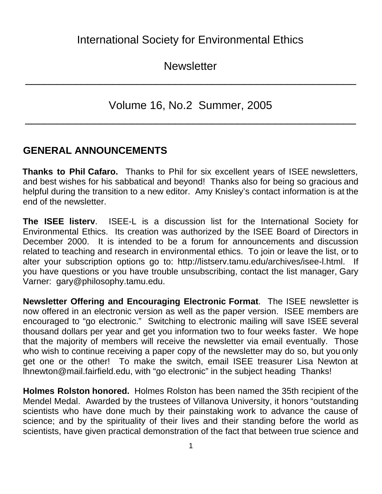**Newsletter** 

\_\_\_\_\_\_\_\_\_\_\_\_\_\_\_\_\_\_\_\_\_\_\_\_\_\_\_\_\_\_\_\_\_\_\_\_\_\_\_\_\_\_\_\_\_\_\_\_\_\_\_\_\_

Volume 16, No.2 Summer, 2005

\_\_\_\_\_\_\_\_\_\_\_\_\_\_\_\_\_\_\_\_\_\_\_\_\_\_\_\_\_\_\_\_\_\_\_\_\_\_\_\_\_\_\_\_\_\_\_\_\_\_\_\_\_

### **GENERAL ANNOUNCEMENTS**

**Thanks to Phil Cafaro.** Thanks to Phil for six excellent years of ISEE newsletters, and best wishes for his sabbatical and beyond! Thanks also for being so gracious and helpful during the transition to a new editor. Amy Knisley's contact information is at the end of the newsletter.

**The ISEE listerv**. ISEE-L is a discussion list for the International Society for Environmental Ethics. Its creation was authorized by the ISEE Board of Directors in December 2000. It is intended to be a forum for announcements and discussion related to teaching and research in environmental ethics. To join or leave the list, or to alter your subscription options go to: http://listserv.tamu.edu/archives/isee-l.html. If you have questions or you have trouble unsubscribing, contact the list manager, Gary Varner: gary@philosophy.tamu.edu.

**Newsletter Offering and Encouraging Electronic Format**. The ISEE newsletter is now offered in an electronic version as well as the paper version. ISEE members are encouraged to "go electronic." Switching to electronic mailing will save ISEE several thousand dollars per year and get you information two to four weeks faster. We hope that the majority of members will receive the newsletter via email eventually. Those who wish to continue receiving a paper copy of the newsletter may do so, but you only get one or the other! To make the switch, email ISEE treasurer Lisa Newton at lhnewton@mail.fairfield.edu, with "go electronic" in the subject heading Thanks!

**Holmes Rolston honored.** Holmes Rolston has been named the 35th recipient of the Mendel Medal. Awarded by the trustees of Villanova University, it honors "outstanding scientists who have done much by their painstaking work to advance the cause of science; and by the spirituality of their lives and their standing before the world as scientists, have given practical demonstration of the fact that between true science and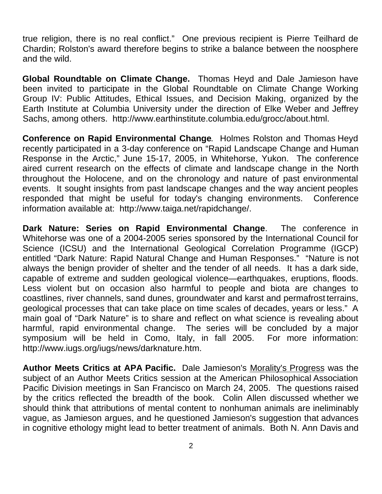true religion, there is no real conflict." One previous recipient is Pierre Teilhard de Chardin; Rolston's award therefore begins to strike a balance between the noosphere and the wild.

**Global Roundtable on Climate Change.** Thomas Heyd and Dale Jamieson have been invited to participate in the Global Roundtable on Climate Change Working Group IV: Public Attitudes, Ethical Issues, and Decision Making, organized by the Earth Institute at Columbia University under the direction of Elke Weber and Jeffrey Sachs, among others. http://www.earthinstitute.columbia.edu/grocc/about.html.

**Conference on Rapid Environmental Change**. Holmes Rolston and Thomas Heyd recently participated in a 3-day conference on "Rapid Landscape Change and Human Response in the Arctic," June 15-17, 2005, in Whitehorse, Yukon. The conference aired current research on the effects of climate and landscape change in the North throughout the Holocene, and on the chronology and nature of past environmental events. It sought insights from past landscape changes and the way ancient peoples responded that might be useful for today's changing environments. Conference information available at: http://www.taiga.net/rapidchange/.

**Dark Nature: Series on Rapid Environmental Change**. The conference in Whitehorse was one of a 2004-2005 series sponsored by the International Council for Science (ICSU) and the International Geological Correlation Programme (IGCP) entitled "Dark Nature: Rapid Natural Change and Human Responses." "Nature is not always the benign provider of shelter and the tender of all needs. It has a dark side, capable of extreme and sudden geological violence—earthquakes, eruptions, floods. Less violent but on occasion also harmful to people and biota are changes to coastlines, river channels, sand dunes, groundwater and karst and permafrost terrains, geological processes that can take place on time scales of decades, years or less." A main goal of "Dark Nature" is to share and reflect on what science is revealing about harmful, rapid environmental change. The series will be concluded by a major symposium will be held in Como, Italy, in fall 2005. For more information: http://www.iugs.org/iugs/news/darknature.htm.

**Author Meets Critics at APA Pacific.** Dale Jamieson's Morality's Progress was the subject of an Author Meets Critics session at the American Philosophical Association Pacific Division meetings in San Francisco on March 24, 2005. The questions raised by the critics reflected the breadth of the book. Colin Allen discussed whether we should think that attributions of mental content to nonhuman animals are ineliminably vague, as Jamieson argues, and he questioned Jamieson's suggestion that advances in cognitive ethology might lead to better treatment of animals. Both N. Ann Davis and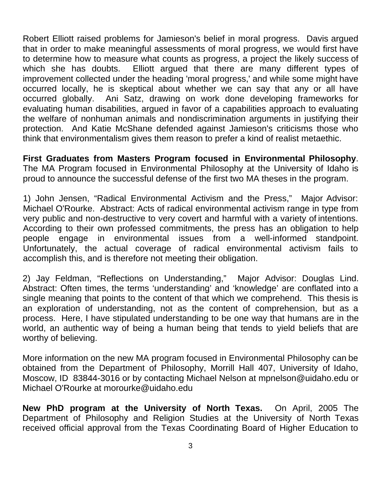Robert Elliott raised problems for Jamieson's belief in moral progress. Davis argued that in order to make meaningful assessments of moral progress, we would first have to determine how to measure what counts as progress, a project the likely success of which she has doubts. Elliott argued that there are many different types of improvement collected under the heading 'moral progress,' and while some might have occurred locally, he is skeptical about whether we can say that any or all have occurred globally. Ani Satz, drawing on work done developing frameworks for evaluating human disabilities, argued in favor of a capabilities approach to evaluating the welfare of nonhuman animals and nondiscrimination arguments in justifying their protection. And Katie McShane defended against Jamieson's criticisms those who think that environmentalism gives them reason to prefer a kind of realist metaethic.

**First Graduates from Masters Program focused in Environmental Philosophy**. The MA Program focused in Environmental Philosophy at the University of Idaho is proud to announce the successful defense of the first two MA theses in the program.

1) John Jensen, "Radical Environmental Activism and the Press," Major Advisor: Michael O'Rourke. Abstract: Acts of radical environmental activism range in type from very public and non-destructive to very covert and harmful with a variety of intentions. According to their own professed commitments, the press has an obligation to help people engage in environmental issues from a well-informed standpoint. Unfortunately, the actual coverage of radical environmental activism fails to accomplish this, and is therefore not meeting their obligation.

2) Jay Feldman, "Reflections on Understanding," Major Advisor: Douglas Lind. Abstract: Often times, the terms 'understanding' and 'knowledge' are conflated into a single meaning that points to the content of that which we comprehend. This thesis is an exploration of understanding, not as the content of comprehension, but as a process. Here, I have stipulated understanding to be one way that humans are in the world, an authentic way of being a human being that tends to yield beliefs that are worthy of believing.

More information on the new MA program focused in Environmental Philosophy can be obtained from the Department of Philosophy, Morrill Hall 407, University of Idaho, Moscow, ID 83844-3016 or by contacting Michael Nelson at mpnelson@uidaho.edu or Michael O'Rourke at morourke@uidaho.edu

**New PhD program at the University of North Texas.** On April, 2005 The Department of Philosophy and Religion Studies at the University of North Texas received official approval from the Texas Coordinating Board of Higher Education to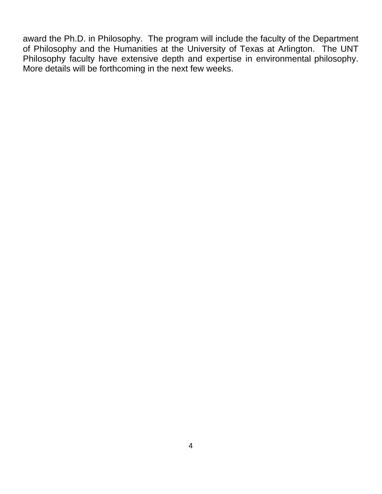award the Ph.D. in Philosophy. The program will include the faculty of the Department of Philosophy and the Humanities at the University of Texas at Arlington. The UNT Philosophy faculty have extensive depth and expertise in environmental philosophy. More details will be forthcoming in the next few weeks.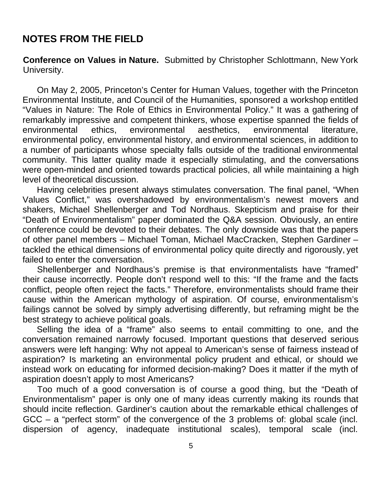#### **NOTES FROM THE FIELD**

**Conference on Values in Nature.** Submitted by Christopher Schlottmann, New York University.

On May 2, 2005, Princeton's Center for Human Values, together with the Princeton Environmental Institute, and Council of the Humanities, sponsored a workshop entitled "Values in Nature: The Role of Ethics in Environmental Policy." It was a gathering of remarkably impressive and competent thinkers, whose expertise spanned the fields of environmental ethics, environmental aesthetics, environmental literature, environmental policy, environmental history, and environmental sciences, in addition to a number of participants whose specialty falls outside of the traditional environmental community. This latter quality made it especially stimulating, and the conversations were open-minded and oriented towards practical policies, all while maintaining a high level of theoretical discussion.

Having celebrities present always stimulates conversation. The final panel, "When Values Conflict," was overshadowed by environmentalism's newest movers and shakers, Michael Shellenberger and Tod Nordhaus. Skepticism and praise for their "Death of Environmentalism" paper dominated the Q&A session. Obviously, an entire conference could be devoted to their debates. The only downside was that the papers of other panel members – Michael Toman, Michael MacCracken, Stephen Gardiner – tackled the ethical dimensions of environmental policy quite directly and rigorously, yet failed to enter the conversation.

Shellenberger and Nordhaus's premise is that environmentalists have "framed" their cause incorrectly. People don't respond well to this: "If the frame and the facts conflict, people often reject the facts." Therefore, environmentalists should frame their cause within the American mythology of aspiration. Of course, environmentalism's failings cannot be solved by simply advertising differently, but reframing might be the best strategy to achieve political goals.

Selling the idea of a "frame" also seems to entail committing to one, and the conversation remained narrowly focused. Important questions that deserved serious answers were left hanging: Why not appeal to American's sense of fairness instead of aspiration? Is marketing an environmental policy prudent and ethical, or should we instead work on educating for informed decision-making? Does it matter if the myth of aspiration doesn't apply to most Americans?

Too much of a good conversation is of course a good thing, but the "Death of Environmentalism" paper is only one of many ideas currently making its rounds that should incite reflection. Gardiner's caution about the remarkable ethical challenges of GCC – a "perfect storm" of the convergence of the 3 problems of: global scale (incl. dispersion of agency, inadequate institutional scales), temporal scale (incl.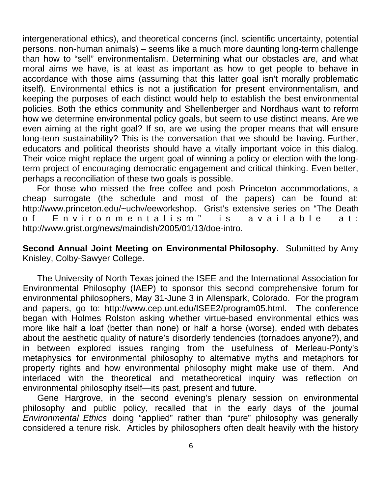intergenerational ethics), and theoretical concerns (incl. scientific uncertainty, potential persons, non-human animals) – seems like a much more daunting long-term challenge than how to "sell" environmentalism. Determining what our obstacles are, and what moral aims we have, is at least as important as how to get people to behave in accordance with those aims (assuming that this latter goal isn't morally problematic itself). Environmental ethics is not a justification for present environmentalism, and keeping the purposes of each distinct would help to establish the best environmental policies. Both the ethics community and Shellenberger and Nordhaus want to reform how we determine environmental policy goals, but seem to use distinct means. Are we even aiming at the right goal? If so, are we using the proper means that will ensure long-term sustainability? This is the conversation that we should be having. Further, educators and political theorists should have a vitally important voice in this dialog. Their voice might replace the urgent goal of winning a policy or election with the longterm project of encouraging democratic engagement and critical thinking. Even better, perhaps a reconciliation of these two goals is possible.

For those who missed the free coffee and posh Princeton accommodations, a cheap surrogate (the schedule and most of the papers) can be found at: http://www.princeton.edu/~uchv/eeworkshop. Grist's extensive series on "The Death of Environmentalism" is available at: http://www.grist.org/news/maindish/2005/01/13/doe-intro.

**Second Annual Joint Meeting on Environmental Philosophy**. Submitted by Amy Knisley, Colby-Sawyer College.

The University of North Texas joined the ISEE and the International Association for Environmental Philosophy (IAEP) to sponsor this second comprehensive forum for environmental philosophers, May 31-June 3 in Allenspark, Colorado. For the program and papers, go to: http://www.cep.unt.edu/ISEE2/program05.html. The conference began with Holmes Rolston asking whether virtue-based environmental ethics was more like half a loaf (better than none) or half a horse (worse), ended with debates about the aesthetic quality of nature's disorderly tendencies (tornadoes anyone?), and in between explored issues ranging from the usefulness of Merleau-Ponty's metaphysics for environmental philosophy to alternative myths and metaphors for property rights and how environmental philosophy might make use of them. And interlaced with the theoretical and metatheoretical inquiry was reflection on environmental philosophy itself—its past, present and future.

Gene Hargrove, in the second evening's plenary session on environmental philosophy and public policy, recalled that in the early days of the journal *Environmental Ethics* doing "applied" rather than "pure" philosophy was generally considered a tenure risk. Articles by philosophers often dealt heavily with the history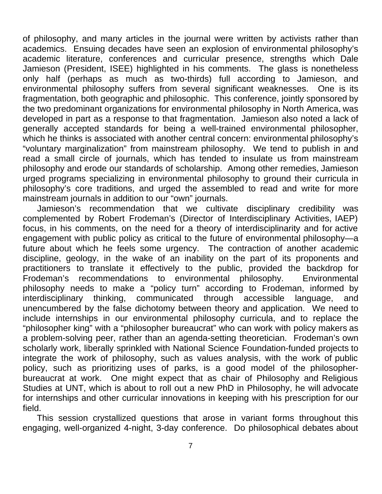of philosophy, and many articles in the journal were written by activists rather than academics. Ensuing decades have seen an explosion of environmental philosophy's academic literature, conferences and curricular presence, strengths which Dale Jamieson (President, ISEE) highlighted in his comments. The glass is nonetheless only half (perhaps as much as two-thirds) full according to Jamieson, and environmental philosophy suffers from several significant weaknesses. One is its fragmentation, both geographic and philosophic. This conference, jointly sponsored by the two predominant organizations for environmental philosophy in North America, was developed in part as a response to that fragmentation. Jamieson also noted a lack of generally accepted standards for being a well-trained environmental philosopher, which he thinks is associated with another central concern: environmental philosophy's "voluntary marginalization" from mainstream philosophy. We tend to publish in and read a small circle of journals, which has tended to insulate us from mainstream philosophy and erode our standards of scholarship. Among other remedies, Jamieson urged programs specializing in environmental philosophy to ground their curricula in philosophy's core traditions, and urged the assembled to read and write for more mainstream journals in addition to our "own" journals.

Jamieson's recommendation that we cultivate disciplinary credibility was complemented by Robert Frodeman's (Director of Interdisciplinary Activities, IAEP) focus, in his comments, on the need for a theory of interdisciplinarity and for active engagement with public policy as critical to the future of environmental philosophy—a future about which he feels some urgency. The contraction of another academic discipline, geology, in the wake of an inability on the part of its proponents and practitioners to translate it effectively to the public, provided the backdrop for Frodeman's recommendations to environmental philosophy. Environmental philosophy needs to make a "policy turn" according to Frodeman, informed by interdisciplinary thinking, communicated through accessible language, and unencumbered by the false dichotomy between theory and application. We need to include internships in our environmental philosophy curricula, and to replace the "philosopher king" with a "philosopher bureaucrat" who can work with policy makers as a problem-solving peer, rather than an agenda-setting theoretician. Frodeman's own scholarly work, liberally sprinkled with National Science Foundation-funded projects to integrate the work of philosophy, such as values analysis, with the work of public policy, such as prioritizing uses of parks, is a good model of the philosopherbureaucrat at work. One might expect that as chair of Philosophy and Religious Studies at UNT, which is about to roll out a new PhD in Philosophy, he will advocate for internships and other curricular innovations in keeping with his prescription for our field.

This session crystallized questions that arose in variant forms throughout this engaging, well-organized 4-night, 3-day conference. Do philosophical debates about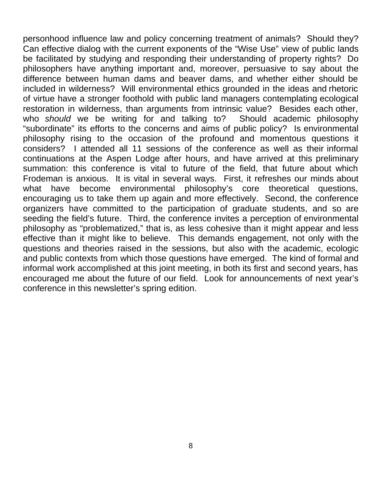personhood influence law and policy concerning treatment of animals? Should they? Can effective dialog with the current exponents of the "Wise Use" view of public lands be facilitated by studying and responding their understanding of property rights? Do philosophers have anything important and, moreover, persuasive to say about the difference between human dams and beaver dams, and whether either should be included in wilderness? Will environmental ethics grounded in the ideas and rhetoric of virtue have a stronger foothold with public land managers contemplating ecological restoration in wilderness, than arguments from intrinsic value? Besides each other, who *should* we be writing for and talking to? Should academic philosophy "subordinate" its efforts to the concerns and aims of public policy? Is environmental philosophy rising to the occasion of the profound and momentous questions it considers? I attended all 11 sessions of the conference as well as their informal continuations at the Aspen Lodge after hours, and have arrived at this preliminary summation: this conference is vital to future of the field, that future about which Frodeman is anxious. It is vital in several ways. First, it refreshes our minds about what have become environmental philosophy's core theoretical questions, encouraging us to take them up again and more effectively. Second, the conference organizers have committed to the participation of graduate students, and so are seeding the field's future. Third, the conference invites a perception of environmental philosophy as "problematized," that is, as less cohesive than it might appear and less effective than it might like to believe. This demands engagement, not only with the questions and theories raised in the sessions, but also with the academic, ecologic and public contexts from which those questions have emerged. The kind of formal and informal work accomplished at this joint meeting, in both its first and second years, has encouraged me about the future of our field. Look for announcements of next year's conference in this newsletter's spring edition.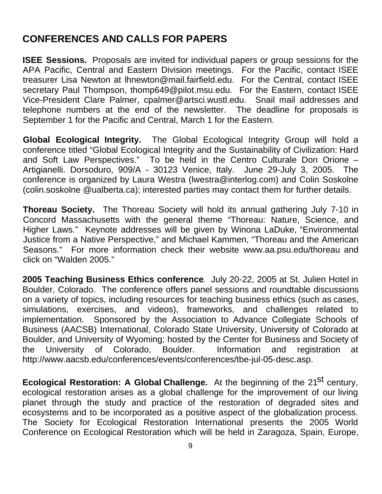## **CONFERENCES AND CALLS FOR PAPERS**

**ISEE Sessions.** Proposals are invited for individual papers or group sessions for the APA Pacific, Central and Eastern Division meetings. For the Pacific, contact ISEE treasurer Lisa Newton at lhnewton@mail.fairfield.edu. For the Central, contact ISEE secretary Paul Thompson, thomp649@pilot.msu.edu. For the Eastern, contact ISEE Vice-President Clare Palmer, cpalmer@artsci.wustl.edu. Snail mail addresses and telephone numbers at the end of the newsletter. The deadline for proposals is September 1 for the Pacific and Central, March 1 for the Eastern.

**Global Ecological Integrity.** The Global Ecological Integrity Group will hold a conference titled "Global Ecological Integrity and the Sustainability of Civilization: Hard and Soft Law Perspectives." To be held in the Centro Culturale Don Orione – Artigianelli. Dorsoduro, 909/A - 30123 Venice, Italy. June 29-July 3, 2005. The conference is organized by Laura Westra (lwestra@interlog.com) and Colin Soskolne (colin.soskolne @ualberta.ca); interested parties may contact them for further details.

**Thoreau Society.** The Thoreau Society will hold its annual gathering July 7-10 in Concord Massachusetts with the general theme "Thoreau: Nature, Science, and Higher Laws." Keynote addresses will be given by Winona LaDuke, "Environmental Justice from a Native Perspective," and Michael Kammen, "Thoreau and the American Seasons." For more information check their website www.aa.psu.edu/thoreau and click on "Walden 2005."

**2005 Teaching Business Ethics conference**. July 20-22, 2005 at St. Julien Hotel in Boulder, Colorado. The conference offers panel sessions and roundtable discussions on a variety of topics, including resources for teaching business ethics (such as cases, simulations, exercises, and videos), frameworks, and challenges related to implementation. Sponsored by the Association to Advance Collegiate Schools of Business (AACSB) International, Colorado State University, University of Colorado at Boulder, and University of Wyoming; hosted by the Center for Business and Society of the University of Colorado, Boulder. Information and registration at http://www.aacsb.edu/conferences/events/conferences/tbe-jul-05-desc.asp.

**Ecological Restoration: A Global Challenge.** At the beginning of the 21<sup>st</sup> century, ecological restoration arises as a global challenge for the improvement of our living planet through the study and practice of the restoration of degraded sites and ecosystems and to be incorporated as a positive aspect of the globalization process. The Society for Ecological Restoration International presents the 2005 World Conference on Ecological Restoration which will be held in Zaragoza, Spain, Europe,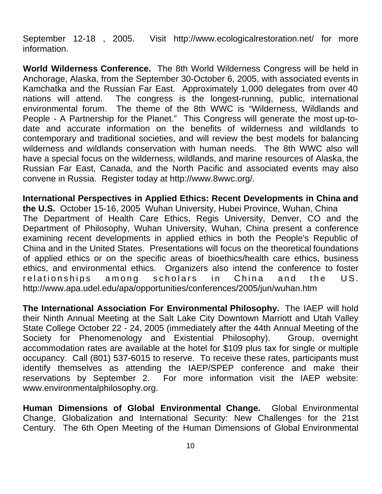September 12-18 , 2005. Visit http://www.ecologicalrestoration.net/ for more information.

**World Wilderness Conference.** The 8th World Wilderness Congress will be held in Anchorage, Alaska, from the September 30-October 6, 2005, with associated events in Kamchatka and the Russian Far East. Approximately 1,000 delegates from over 40 nations will attend. The congress is the longest-running, public, international environmental forum. The theme of the 8th WWC is "Wilderness, Wildlands and People - A Partnership for the Planet." This Congress will generate the most up-todate and accurate information on the benefits of wilderness and wildlands to contemporary and traditional societies, and will review the best models for balancing wilderness and wildlands conservation with human needs. The 8th WWC also will have a special focus on the wilderness, wildlands, and marine resources of Alaska, the Russian Far East, Canada, and the North Pacific and associated events may also convene in Russia. Register today at http://www.8wwc.org/.

**International Perspectives in Applied Ethics: Recent Developments in China and the U.S.** October 15-16, 2005 Wuhan University, Hubei Province, Wuhan, China The Department of Health Care Ethics, Regis University, Denver, CO and the Department of Philosophy, Wuhan University, Wuhan, China present a conference examining recent developments in applied ethics in both the People's Republic of China and in the United States. Presentations will focus on the theoretical foundations of applied ethics or on the specific areas of bioethics/health care ethics, business ethics, and environmental ethics. Organizers also intend the conference to foster relationships among scholars in China and the US. http://www.apa.udel.edu/apa/opportunities/conferences/2005/jun/wuhan.htm

**The International Association For Environmental Philosophy.** The IAEP will hold their Ninth Annual Meeting at the Salt Lake City Downtown Marriott and Utah Valley State College October 22 - 24, 2005 (immediately after the 44th Annual Meeting of the Society for Phenomenology and Existential Philosophy). Group, overnight accommodation rates are available at the hotel for \$109 plus tax for single or multiple occupancy. Call (801) 537-6015 to reserve. To receive these rates, participants must identify themselves as attending the IAEP/SPEP conference and make their reservations by September 2. For more information visit the IAEP website: www.environmentalphilosophy.org.

**Human Dimensions of Global Environmental Change.** Global Environmental Change, Globalization and International Security: New Challenges for the 21st Century. The 6th Open Meeting of the Human Dimensions of Global Environmental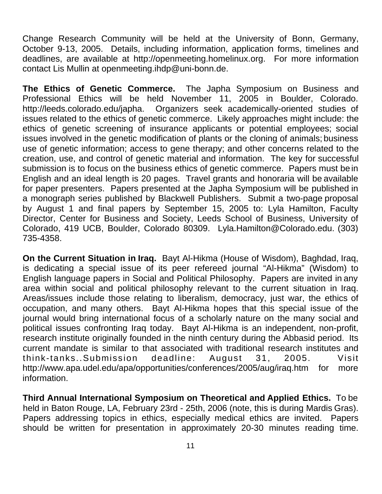Change Research Community will be held at the University of Bonn, Germany, October 9-13, 2005. Details, including information, application forms, timelines and deadlines, are available at http://openmeeting.homelinux.org. For more information contact Lis Mullin at openmeeting.ihdp@uni-bonn.de.

**The Ethics of Genetic Commerce.** The Japha Symposium on Business and Professional Ethics will be held November 11, 2005 in Boulder, Colorado. http://leeds.colorado.edu/japha. Organizers seek academically-oriented studies of issues related to the ethics of genetic commerce. Likely approaches might include: the ethics of genetic screening of insurance applicants or potential employees; social issues involved in the genetic modification of plants or the cloning of animals; business use of genetic information; access to gene therapy; and other concerns related to the creation, use, and control of genetic material and information. The key for successful submission is to focus on the business ethics of genetic commerce. Papers must be in English and an ideal length is 20 pages. Travel grants and honoraria will be available for paper presenters. Papers presented at the Japha Symposium will be published in a monograph series published by Blackwell Publishers. Submit a two-page proposal by August 1 and final papers by September 15, 2005 to: Lyla Hamilton, Faculty Director, Center for Business and Society, Leeds School of Business, University of Colorado, 419 UCB, Boulder, Colorado 80309. Lyla.Hamilton@Colorado.edu. (303) 735-4358.

**On the Current Situation in Iraq.** Bayt Al-Hikma (House of Wisdom), Baghdad, Iraq, is dedicating a special issue of its peer refereed journal "Al-Hikma" (Wisdom) to English language papers in Social and Political Philosophy. Papers are invited in any area within social and political philosophy relevant to the current situation in Iraq. Areas/issues include those relating to liberalism, democracy, just war, the ethics of occupation, and many others. Bayt Al-Hikma hopes that this special issue of the journal would bring international focus of a scholarly nature on the many social and political issues confronting Iraq today. Bayt Al-Hikma is an independent, non-profit, research institute originally founded in the ninth century during the Abbasid period. Its current mandate is similar to that associated with traditional research institutes and think-tanks..Submission deadline: August 31, 2005. Visit http://www.apa.udel.edu/apa/opportunities/conferences/2005/aug/irag.htm for more information.

**Third Annual International Symposium on Theoretical and Applied Ethics.** To be held in Baton Rouge, LA, February 23rd - 25th, 2006 (note, this is during Mardis Gras). Papers addressing topics in ethics, especially medical ethics are invited. Papers should be written for presentation in approximately 20-30 minutes reading time.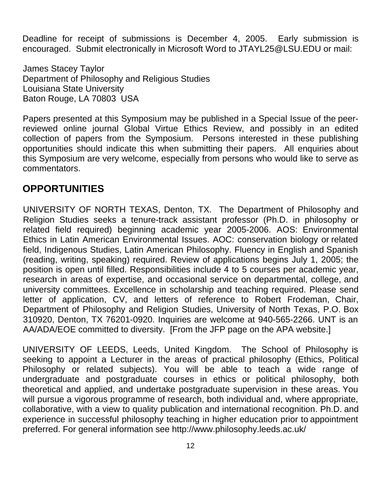Deadline for receipt of submissions is December 4, 2005. Early submission is encouraged. Submit electronically in Microsoft Word to JTAYL25@LSU.EDU or mail:

James Stacey Taylor Department of Philosophy and Religious Studies Louisiana State University Baton Rouge, LA 70803 USA

Papers presented at this Symposium may be published in a Special Issue of the peerreviewed online journal Global Virtue Ethics Review, and possibly in an edited collection of papers from the Symposium. Persons interested in these publishing opportunities should indicate this when submitting their papers. All enquiries about this Symposium are very welcome, especially from persons who would like to serve as commentators.

## **OPPORTUNITIES**

UNIVERSITY OF NORTH TEXAS, Denton, TX. The Department of Philosophy and Religion Studies seeks a tenure-track assistant professor (Ph.D. in philosophy or related field required) beginning academic year 2005-2006. AOS: Environmental Ethics in Latin American Environmental Issues. AOC: conservation biology or related field, Indigenous Studies, Latin American Philosophy. Fluency in English and Spanish (reading, writing, speaking) required. Review of applications begins July 1, 2005; the position is open until filled. Responsibilities include 4 to 5 courses per academic year, research in areas of expertise, and occasional service on departmental, college, and university committees. Excellence in scholarship and teaching required. Please send letter of application, CV, and letters of reference to Robert Frodeman, Chair, Department of Philosophy and Religion Studies, University of North Texas, P.O. Box 310920, Denton, TX 76201-0920. Inquiries are welcome at 940-565-2266. UNT is an AA/ADA/EOE committed to diversity. [From the JFP page on the APA website.]

UNIVERSITY OF LEEDS, Leeds, United Kingdom. The School of Philosophy is seeking to appoint a Lecturer in the areas of practical philosophy (Ethics, Political Philosophy or related subjects). You will be able to teach a wide range of undergraduate and postgraduate courses in ethics or political philosophy, both theoretical and applied, and undertake postgraduate supervision in these areas. You will pursue a vigorous programme of research, both individual and, where appropriate, collaborative, with a view to quality publication and international recognition. Ph.D. and experience in successful philosophy teaching in higher education prior to appointment preferred. For general information see http://www.philosophy.leeds.ac.uk/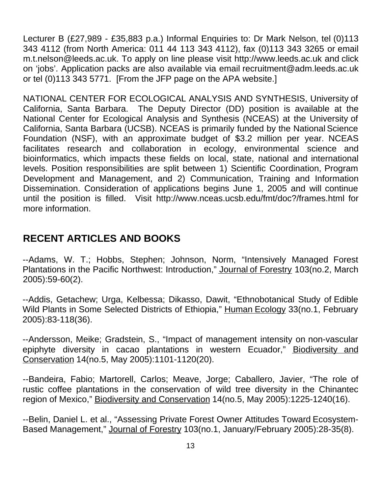Lecturer B (£27,989 - £35,883 p.a.) Informal Enquiries to: Dr Mark Nelson, tel (0)113 343 4112 (from North America: 011 44 113 343 4112), fax (0)113 343 3265 or email m.t.nelson@leeds.ac.uk. To apply on line please visit http://www.leeds.ac.uk and click on 'jobs'. Application packs are also available via email recruitment@adm.leeds.ac.uk or tel (0)113 343 5771. [From the JFP page on the APA website.]

NATIONAL CENTER FOR ECOLOGICAL ANALYSIS AND SYNTHESIS, University of California, Santa Barbara. The Deputy Director (DD) position is available at the National Center for Ecological Analysis and Synthesis (NCEAS) at the University of California, Santa Barbara (UCSB). NCEAS is primarily funded by the National Science Foundation (NSF), with an approximate budget of \$3.2 million per year. NCEAS facilitates research and collaboration in ecology, environmental science and bioinformatics, which impacts these fields on local, state, national and international levels. Position responsibilities are split between 1) Scientific Coordination, Program Development and Management, and 2) Communication, Training and Information Dissemination. Consideration of applications begins June 1, 2005 and will continue until the position is filled. Visit http://www.nceas.ucsb.edu/fmt/doc?/frames.html for more information.

## **RECENT ARTICLES AND BOOKS**

--Adams, W. T.; Hobbs, Stephen; Johnson, Norm, "Intensively Managed Forest Plantations in the Pacific Northwest: Introduction," Journal of Forestry 103(no.2, March 2005):59-60(2).

--Addis, Getachew; Urga, Kelbessa; Dikasso, Dawit, "Ethnobotanical Study of Edible Wild Plants in Some Selected Districts of Ethiopia," Human Ecology 33(no.1, February 2005):83-118(36).

--Andersson, Meike; Gradstein, S., "Impact of management intensity on non-vascular epiphyte diversity in cacao plantations in western Ecuador," Biodiversity and Conservation 14(no.5, May 2005):1101-1120(20).

--Bandeira, Fabio; Martorell, Carlos; Meave, Jorge; Caballero, Javier, "The role of rustic coffee plantations in the conservation of wild tree diversity in the Chinantec region of Mexico," Biodiversity and Conservation 14(no.5, May 2005):1225-1240(16).

--Belin, Daniel L. et al., "Assessing Private Forest Owner Attitudes Toward Ecosystem-Based Management," Journal of Forestry 103(no.1, January/February 2005):28-35(8).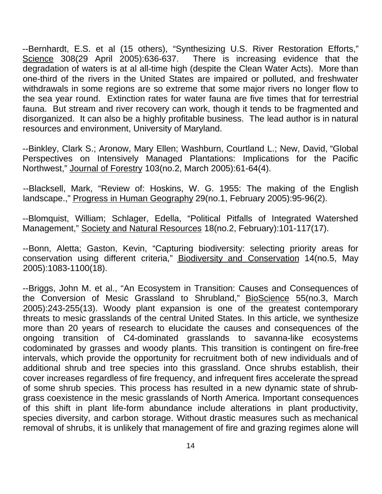--Bernhardt, E.S. et al (15 others), "Synthesizing U.S. River Restoration Efforts," Science 308(29 April 2005):636-637. There is increasing evidence that the degradation of waters is at al all-time high (despite the Clean Water Acts). More than one-third of the rivers in the United States are impaired or polluted, and freshwater withdrawals in some regions are so extreme that some major rivers no longer flow to the sea year round. Extinction rates for water fauna are five times that for terrestrial fauna. But stream and river recovery can work, though it tends to be fragmented and disorganized. It can also be a highly profitable business. The lead author is in natural resources and environment, University of Maryland.

--Binkley, Clark S.; Aronow, Mary Ellen; Washburn, Courtland L.; New, David, "Global Perspectives on Intensively Managed Plantations: Implications for the Pacific Northwest," Journal of Forestry 103(no.2, March 2005):61-64(4).

--Blacksell, Mark, "Review of: Hoskins, W. G. 1955: The making of the English landscape.," Progress in Human Geography 29(no.1, February 2005):95-96(2).

--Blomquist, William; Schlager, Edella, "Political Pitfalls of Integrated Watershed Management," Society and Natural Resources 18(no.2, February):101-117(17).

--Bonn, Aletta; Gaston, Kevin, "Capturing biodiversity: selecting priority areas for conservation using different criteria," Biodiversity and Conservation 14(no.5, May 2005):1083-1100(18).

--Briggs, John M. et al., "An Ecosystem in Transition: Causes and Consequences of the Conversion of Mesic Grassland to Shrubland," BioScience 55(no.3, March 2005):243-255(13). Woody plant expansion is one of the greatest contemporary threats to mesic grasslands of the central United States. In this article, we synthesize more than 20 years of research to elucidate the causes and consequences of the ongoing transition of C4-dominated grasslands to savanna-like ecosystems codominated by grasses and woody plants. This transition is contingent on fire-free intervals, which provide the opportunity for recruitment both of new individuals and of additional shrub and tree species into this grassland. Once shrubs establish, their cover increases regardless of fire frequency, and infrequent fires accelerate the spread of some shrub species. This process has resulted in a new dynamic state of shrubgrass coexistence in the mesic grasslands of North America. Important consequences of this shift in plant life-form abundance include alterations in plant productivity, species diversity, and carbon storage. Without drastic measures such as mechanical removal of shrubs, it is unlikely that management of fire and grazing regimes alone will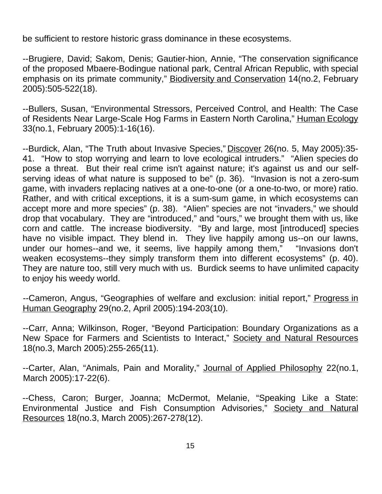be sufficient to restore historic grass dominance in these ecosystems.

--Brugiere, David; Sakom, Denis; Gautier-hion, Annie, "The conservation significance of the proposed Mbaere-Bodingue national park, Central African Republic, with special emphasis on its primate community," Biodiversity and Conservation 14(no.2, February 2005):505-522(18).

--Bullers, Susan, "Environmental Stressors, Perceived Control, and Health: The Case of Residents Near Large-Scale Hog Farms in Eastern North Carolina," Human Ecology 33(no.1, February 2005):1-16(16).

--Burdick, Alan, "The Truth about Invasive Species," Discover 26(no. 5, May 2005):35-41. "How to stop worrying and learn to love ecological intruders." "Alien species do pose a threat. But their real crime isn't against nature; it's against us and our selfserving ideas of what nature is supposed to be" (p. 36). "Invasion is not a zero-sum game, with invaders replacing natives at a one-to-one (or a one-to-two, or more) ratio. Rather, and with critical exceptions, it is a sum-sum game, in which ecosystems can accept more and more species" (p. 38). "Alien" species are not "invaders," we should drop that vocabulary. They are "introduced," and "ours," we brought them with us, like corn and cattle. The increase biodiversity. "By and large, most [introduced] species have no visible impact. They blend in. They live happily among us--on our lawns, under our homes--and we, it seems, live happily among them," "Invasions don't weaken ecosystems--they simply transform them into different ecosystems" (p. 40). They are nature too, still very much with us. Burdick seems to have unlimited capacity to enjoy his weedy world.

--Cameron, Angus, "Geographies of welfare and exclusion: initial report," Progress in Human Geography 29(no.2, April 2005):194-203(10).

--Carr, Anna; Wilkinson, Roger, "Beyond Participation: Boundary Organizations as a New Space for Farmers and Scientists to Interact," Society and Natural Resources 18(no.3, March 2005):255-265(11).

--Carter, Alan, "Animals, Pain and Morality," Journal of Applied Philosophy 22(no.1, March 2005):17-22(6).

--Chess, Caron; Burger, Joanna; McDermot, Melanie, "Speaking Like a State: Environmental Justice and Fish Consumption Advisories," Society and Natural Resources 18(no.3, March 2005):267-278(12).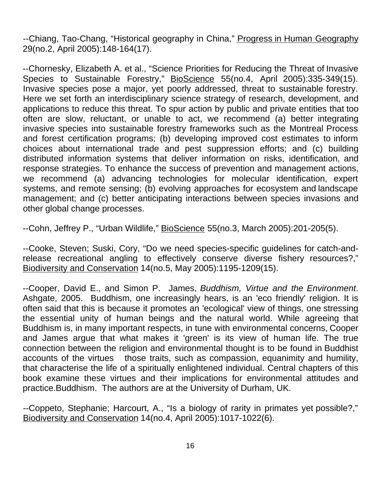--Chiang, Tao-Chang, "Historical geography in China," Progress in Human Geography 29(no.2, April 2005):148-164(17).

--Chornesky, Elizabeth A. et al., "Science Priorities for Reducing the Threat of Invasive Species to Sustainable Forestry," BioScience 55(no.4, April 2005):335-349(15). Invasive species pose a major, yet poorly addressed, threat to sustainable forestry. Here we set forth an interdisciplinary science strategy of research, development, and applications to reduce this threat. To spur action by public and private entities that too often are slow, reluctant, or unable to act, we recommend (a) better integrating invasive species into sustainable forestry frameworks such as the Montreal Process and forest certification programs; (b) developing improved cost estimates to inform choices about international trade and pest suppression efforts; and (c) building distributed information systems that deliver information on risks, identification, and response strategies. To enhance the success of prevention and management actions, we recommend (a) advancing technologies for molecular identification, expert systems, and remote sensing; (b) evolving approaches for ecosystem and landscape management; and (c) better anticipating interactions between species invasions and other global change processes.

--Cohn, Jeffrey P., "Urban Wildlife," BioScience 55(no.3, March 2005):201-205(5).

--Cooke, Steven; Suski, Cory, "Do we need species-specific guidelines for catch-andrelease recreational angling to effectively conserve diverse fishery resources?," Biodiversity and Conservation 14(no.5, May 2005):1195-1209(15).

--Cooper, David E., and Simon P. James, *Buddhism, Virtue and the Environment*. Ashgate, 2005. Buddhism, one increasingly hears, is an 'eco friendly' religion. It is often said that this is because it promotes an 'ecological' view of things, one stressing the essential unity of human beings and the natural world. While agreeing that Buddhism is, in many important respects, in tune with environmental concerns, Cooper and James argue that what makes it 'green' is its view of human life. The true connection between the religion and environmental thought is to be found in Buddhist accounts of the virtues those traits, such as compassion, equanimity and humility, that characterise the life of a spiritually enlightened individual. Central chapters of this book examine these virtues and their implications for environmental attitudes and practice.Buddhism. The authors are at the University of Durham, UK.

--Coppeto, Stephanie; Harcourt, A., "Is a biology of rarity in primates yet possible?," Biodiversity and Conservation 14(no.4, April 2005):1017-1022(6).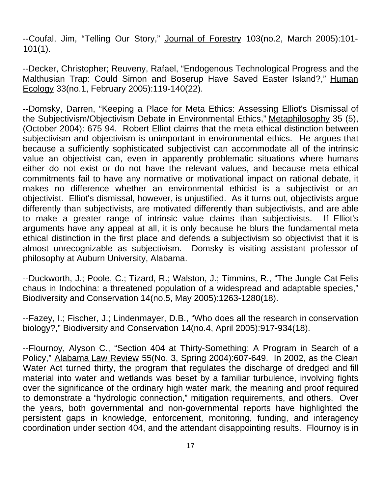--Coufal, Jim, "Telling Our Story," Journal of Forestry 103(no.2, March 2005):101- 101(1).

--Decker, Christopher; Reuveny, Rafael, "Endogenous Technological Progress and the Malthusian Trap: Could Simon and Boserup Have Saved Easter Island?," Human Ecology 33(no.1, February 2005):119-140(22).

--Domsky, Darren, "Keeping a Place for Meta Ethics: Assessing Elliot's Dismissal of the Subjectivism/Objectivism Debate in Environmental Ethics," Metaphilosophy 35 (5), (October 2004): 675 94. Robert Elliot claims that the meta ethical distinction between subjectivism and objectivism is unimportant in environmental ethics. He argues that because a sufficiently sophisticated subjectivist can accommodate all of the intrinsic value an objectivist can, even in apparently problematic situations where humans either do not exist or do not have the relevant values, and because meta ethical commitments fail to have any normative or motivational impact on rational debate, it makes no difference whether an environmental ethicist is a subjectivist or an objectivist. Elliot's dismissal, however, is unjustified. As it turns out, objectivists argue differently than subjectivists, are motivated differently than subjectivists, and are able to make a greater range of intrinsic value claims than subjectivists. If Elliot's arguments have any appeal at all, it is only because he blurs the fundamental meta ethical distinction in the first place and defends a subjectivism so objectivist that it is almost unrecognizable as subjectivism. Domsky is visiting assistant professor of philosophy at Auburn University, Alabama.

--Duckworth, J.; Poole, C.; Tizard, R.; Walston, J.; Timmins, R., "The Jungle Cat Felis chaus in Indochina: a threatened population of a widespread and adaptable species," Biodiversity and Conservation 14(no.5, May 2005):1263-1280(18).

--Fazey, I.; Fischer, J.; Lindenmayer, D.B., "Who does all the research in conservation biology?," Biodiversity and Conservation 14(no.4, April 2005):917-934(18).

--Flournoy, Alyson C., "Section 404 at Thirty-Something: A Program in Search of a Policy," Alabama Law Review 55(No. 3, Spring 2004):607-649. In 2002, as the Clean Water Act turned thirty, the program that regulates the discharge of dredged and fill material into water and wetlands was beset by a familiar turbulence, involving fights over the significance of the ordinary high water mark, the meaning and proof required to demonstrate a "hydrologic connection," mitigation requirements, and others. Over the years, both governmental and non-governmental reports have highlighted the persistent gaps in knowledge, enforcement, monitoring, funding, and interagency coordination under section 404, and the attendant disappointing results. Flournoy is in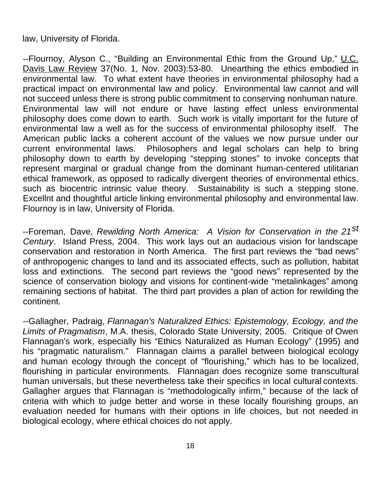law, University of Florida.

--Flournoy, Alyson C., "Building an Environmental Ethic from the Ground Up," U.C. Davis Law Review 37(No. 1, Nov. 2003):53-80. Unearthing the ethics embodied in environmental law. To what extent have theories in environmental philosophy had a practical impact on environmental law and policy. Environmental law cannot and will not succeed unless there is strong public commitment to conserving nonhuman nature. Environmental law will not endure or have lasting effect unless environmental philosophy does come down to earth. Such work is vitally important for the future of environmental law a well as for the success of environmental philosophy itself. The American public lacks a coherent account of the values we now pursue under our current environmental laws. Philosophers and legal scholars can help to bring philosophy down to earth by developing "stepping stones" to invoke concepts that represent marginal or gradual change from the dominant human-centered utilitarian ethical framework, as opposed to radically divergent theories of environmental ethics, such as biocentric intrinsic value theory. Sustainability is such a stepping stone. Excellnt and thoughtful article linking environmental philosophy and environmental law. Flournoy is in law, University of Florida.

--Foreman, Dave, *Rewilding North America: A Vision for Conservation in the 21st Century*. Island Press, 2004. This work lays out an audacious vision for landscape conservation and restoration in North America. The first part reviews the "bad news" of anthropogenic changes to land and its associated effects, such as pollution, habitat loss and extinctions. The second part reviews the "good news" represented by the science of conservation biology and visions for continent-wide "metalinkages" among remaining sections of habitat. The third part provides a plan of action for rewilding the continent.

--Gallagher, Padraig, *Flannagan's Naturalized Ethics: Epistemology, Ecology, and the Limits of Pragmatism*, M.A. thesis, Colorado State University, 2005. Critique of Owen Flannagan's work, especially his "Ethics Naturalized as Human Ecology" (1995) and his "pragmatic naturalism." Flannagan claims a parallel between biological ecology and human ecology through the concept of "flourishing," which has to be localized, flourishing in particular environments. Flannagan does recognize some transcultural human universals, but these nevertheless take their specifics in local cultural contexts. Gallagher argues that Flannagan is "methodologically infirm," because of the lack of criteria with which to judge better and worse in these locally flourishing groups, an evaluation needed for humans with their options in life choices, but not needed in biological ecology, where ethical choices do not apply.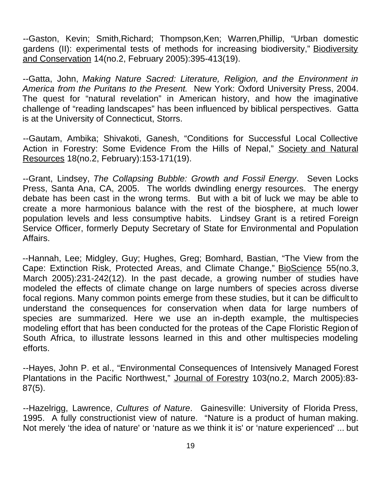--Gaston, Kevin; Smith,Richard; Thompson,Ken; Warren,Phillip, "Urban domestic gardens (II): experimental tests of methods for increasing biodiversity," Biodiversity and Conservation 14(no.2, February 2005):395-413(19).

--Gatta, John, *Making Nature Sacred: Literature, Religion, and the Environment in America from the Puritans to the Present.* New York: Oxford University Press, 2004. The quest for "natural revelation" in American history, and how the imaginative challenge of "reading landscapes" has been influenced by biblical perspectives. Gatta is at the University of Connecticut, Storrs.

--Gautam, Ambika; Shivakoti, Ganesh, "Conditions for Successful Local Collective Action in Forestry: Some Evidence From the Hills of Nepal," Society and Natural Resources 18(no.2, February):153-171(19).

--Grant, Lindsey, *The Collapsing Bubble: Growth and Fossil Energy*. Seven Locks Press, Santa Ana, CA, 2005. The worlds dwindling energy resources. The energy debate has been cast in the wrong terms. But with a bit of luck we may be able to create a more harmonious balance with the rest of the biosphere, at much lower population levels and less consumptive habits. Lindsey Grant is a retired Foreign Service Officer, formerly Deputy Secretary of State for Environmental and Population Affairs.

--Hannah, Lee; Midgley, Guy; Hughes, Greg; Bomhard, Bastian, "The View from the Cape: Extinction Risk, Protected Areas, and Climate Change," BioScience 55(no.3, March 2005):231-242(12). In the past decade, a growing number of studies have modeled the effects of climate change on large numbers of species across diverse focal regions. Many common points emerge from these studies, but it can be difficult to understand the consequences for conservation when data for large numbers of species are summarized. Here we use an in-depth example, the multispecies modeling effort that has been conducted for the proteas of the Cape Floristic Region of South Africa, to illustrate lessons learned in this and other multispecies modeling efforts.

--Hayes, John P. et al., "Environmental Consequences of Intensively Managed Forest Plantations in the Pacific Northwest," Journal of Forestry 103(no.2, March 2005):83- 87(5).

--Hazelrigg, Lawrence, *Cultures of Nature*. Gainesville: University of Florida Press, 1995. A fully constructionist view of nature. "Nature is a product of human making. Not merely 'the idea of nature' or 'nature as we think it is' or 'nature experienced' ... but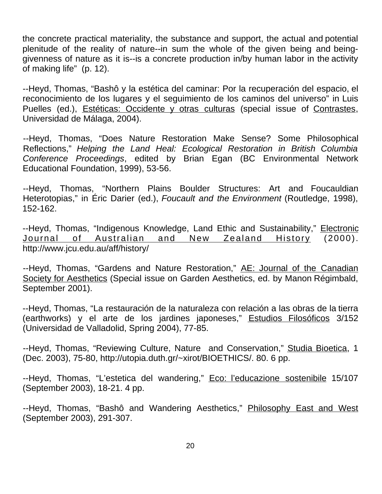the concrete practical materiality, the substance and support, the actual and potential plenitude of the reality of nature--in sum the whole of the given being and beinggivenness of nature as it is--is a concrete production in/by human labor in the activity of making life" (p. 12).

--Heyd, Thomas, "Bashô y la estética del caminar: Por la recuperación del espacio, el reconocimiento de los lugares y el seguimiento de los caminos del universo" in Luis Puelles (ed.), Estéticas: Occidente y otras culturas (special issue of Contrastes, Universidad de Málaga, 2004).

--Heyd, Thomas, "Does Nature Restoration Make Sense? Some Philosophical Reflections," *Helping the Land Heal: Ecological Restoration in British Columbia Conference Proceedings*, edited by Brian Egan (BC Environmental Network Educational Foundation, 1999), 53-56.

--Heyd, Thomas, "Northern Plains Boulder Structures: Art and Foucauldian Heterotopias," in Éric Darier (ed.), *Foucault and the Environment* (Routledge, 1998), 152-162.

--Heyd, Thomas, "Indigenous Knowledge, Land Ethic and Sustainability," Electronic Journal of Australian and New Zealand History (2000). http://www.jcu.edu.au/aff/history/

--Heyd, Thomas, "Gardens and Nature Restoration," AE: Journal of the Canadian Society for Aesthetics (Special issue on Garden Aesthetics, ed. by Manon Régimbald, September 2001).

--Heyd, Thomas, "La restauración de la naturaleza con relación a las obras de la tierra (earthworks) y el arte de los jardines japoneses," Estudios Filosóficos 3/152 (Universidad de Valladolid, Spring 2004), 77-85.

--Heyd, Thomas, "Reviewing Culture, Nature and Conservation," Studia Bioetica, 1 (Dec. 2003), 75-80, http://utopia.duth.gr/~xirot/BIOETHICS/. 80. 6 pp.

--Heyd, Thomas, "L'estetica del wandering," Eco: l'educazione sostenibile 15/107 (September 2003), 18-21. 4 pp.

--Heyd, Thomas, "Bashô and Wandering Aesthetics," Philosophy East and West (September 2003), 291-307.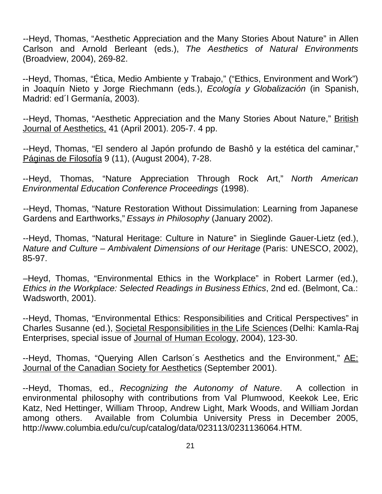--Heyd, Thomas, "Aesthetic Appreciation and the Many Stories About Nature" in Allen Carlson and Arnold Berleant (eds.), *The Aesthetics of Natural Environments* (Broadview, 2004), 269-82.

--Heyd, Thomas, "Ética, Medio Ambiente y Trabajo," ("Ethics, Environment and Work") in Joaquín Nieto y Jorge Riechmann (eds.), *Ecología y Globalización* (in Spanish, Madrid: ed´l Germanía, 2003).

--Heyd, Thomas, "Aesthetic Appreciation and the Many Stories About Nature," British Journal of Aesthetics, 41 (April 2001). 205-7. 4 pp.

--Heyd, Thomas, "El sendero al Japón profundo de Bashô y la estética del caminar," Páginas de Filosofía 9 (11), (August 2004), 7-28.

--Heyd, Thomas, "Nature Appreciation Through Rock Art," *North American Environmental Education Conference Proceedings* (1998).

--Heyd, Thomas, "Nature Restoration Without Dissimulation: Learning from Japanese Gardens and Earthworks," *Essays in Philosophy* (January 2002).

--Heyd, Thomas, "Natural Heritage: Culture in Nature" in Sieglinde Gauer-Lietz (ed.), *Nature and Culture – Ambivalent Dimensions of our Heritage* (Paris: UNESCO, 2002), 85-97.

–Heyd, Thomas, "Environmental Ethics in the Workplace" in Robert Larmer (ed.), *Ethics in the Workplace: Selected Readings in Business Ethics*, 2nd ed. (Belmont, Ca.: Wadsworth, 2001).

--Heyd, Thomas, "Environmental Ethics: Responsibilities and Critical Perspectives" in Charles Susanne (ed.), Societal Responsibilities in the Life Sciences (Delhi: Kamla-Raj Enterprises, special issue of Journal of Human Ecology, 2004), 123-30.

--Heyd, Thomas, "Querying Allen Carlson's Aesthetics and the Environment," AE: Journal of the Canadian Society for Aesthetics (September 2001).

--Heyd, Thomas, ed., *Recognizing the Autonomy of Nature*. A collection in environmental philosophy with contributions from Val Plumwood, Keekok Lee, Eric Katz, Ned Hettinger, William Throop, Andrew Light, Mark Woods, and William Jordan among others. Available from Columbia University Press in December 2005, http://www.columbia.edu/cu/cup/catalog/data/023113/0231136064.HTM.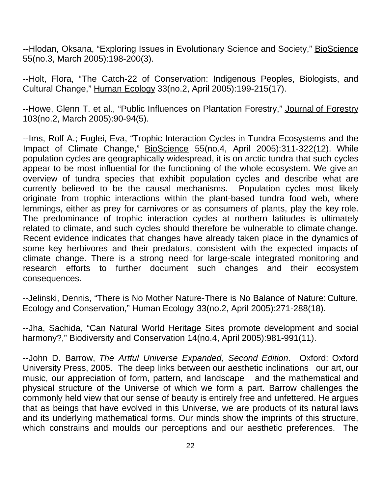--Hlodan, Oksana, "Exploring Issues in Evolutionary Science and Society," BioScience 55(no.3, March 2005):198-200(3).

--Holt, Flora, "The Catch-22 of Conservation: Indigenous Peoples, Biologists, and Cultural Change," Human Ecology 33(no.2, April 2005):199-215(17).

--Howe, Glenn T. et al., "Public Influences on Plantation Forestry," Journal of Forestry 103(no.2, March 2005):90-94(5).

--Ims, Rolf A.; Fuglei, Eva, "Trophic Interaction Cycles in Tundra Ecosystems and the Impact of Climate Change," BioScience 55(no.4, April 2005):311-322(12). While population cycles are geographically widespread, it is on arctic tundra that such cycles appear to be most influential for the functioning of the whole ecosystem. We give an overview of tundra species that exhibit population cycles and describe what are currently believed to be the causal mechanisms. Population cycles most likely originate from trophic interactions within the plant-based tundra food web, where lemmings, either as prey for carnivores or as consumers of plants, play the key role. The predominance of trophic interaction cycles at northern latitudes is ultimately related to climate, and such cycles should therefore be vulnerable to climate change. Recent evidence indicates that changes have already taken place in the dynamics of some key herbivores and their predators, consistent with the expected impacts of climate change. There is a strong need for large-scale integrated monitoring and research efforts to further document such changes and their ecosystem consequences.

--Jelinski, Dennis, "There is No Mother Nature-There is No Balance of Nature: Culture, Ecology and Conservation," Human Ecology 33(no.2, April 2005):271-288(18).

--Jha, Sachida, "Can Natural World Heritage Sites promote development and social harmony?," Biodiversity and Conservation 14(no.4, April 2005):981-991(11).

--John D. Barrow, *The Artful Universe Expanded, Second Edition*. Oxford: Oxford University Press, 2005. The deep links between our aesthetic inclinations our art, our music, our appreciation of form, pattern, and landscape and the mathematical and physical structure of the Universe of which we form a part. Barrow challenges the commonly held view that our sense of beauty is entirely free and unfettered. He argues that as beings that have evolved in this Universe, we are products of its natural laws and its underlying mathematical forms. Our minds show the imprints of this structure, which constrains and moulds our perceptions and our aesthetic preferences. The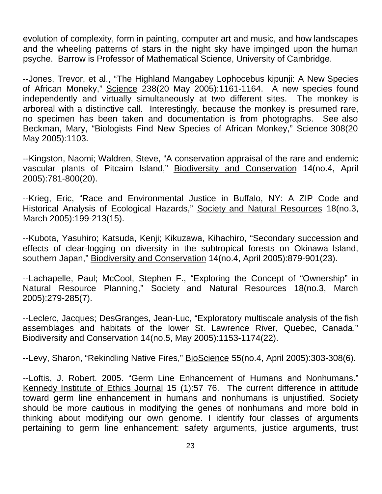evolution of complexity, form in painting, computer art and music, and how landscapes and the wheeling patterns of stars in the night sky have impinged upon the human psyche. Barrow is Professor of Mathematical Science, University of Cambridge.

--Jones, Trevor, et al., "The Highland Mangabey Lophocebus kipunji: A New Species of African Moneky," Science 238(20 May 2005):1161-1164. A new species found independently and virtually simultaneously at two different sites. The monkey is arboreal with a distinctive call. Interestingly, because the monkey is presumed rare, no specimen has been taken and documentation is from photographs. See also Beckman, Mary, "Biologists Find New Species of African Monkey," Science 308(20 May 2005):1103.

--Kingston, Naomi; Waldren, Steve, "A conservation appraisal of the rare and endemic vascular plants of Pitcairn Island," Biodiversity and Conservation 14(no.4, April 2005):781-800(20).

--Krieg, Eric, "Race and Environmental Justice in Buffalo, NY: A ZIP Code and Historical Analysis of Ecological Hazards," Society and Natural Resources 18(no.3, March 2005):199-213(15).

--Kubota, Yasuhiro; Katsuda, Kenji; Kikuzawa, Kihachiro, "Secondary succession and effects of clear-logging on diversity in the subtropical forests on Okinawa Island, southern Japan," Biodiversity and Conservation 14(no.4, April 2005):879-901(23).

--Lachapelle, Paul; McCool, Stephen F., "Exploring the Concept of "Ownership" in Natural Resource Planning," Society and Natural Resources 18(no.3, March 2005):279-285(7).

--Leclerc, Jacques; DesGranges, Jean-Luc, "Exploratory multiscale analysis of the fish assemblages and habitats of the lower St. Lawrence River, Quebec, Canada," Biodiversity and Conservation 14(no.5, May 2005):1153-1174(22).

--Levy, Sharon, "Rekindling Native Fires," BioScience 55(no.4, April 2005):303-308(6).

--Loftis, J. Robert. 2005. "Germ Line Enhancement of Humans and Nonhumans." Kennedy Institute of Ethics Journal 15 (1):57 76. The current difference in attitude toward germ line enhancement in humans and nonhumans is unjustified. Society should be more cautious in modifying the genes of nonhumans and more bold in thinking about modifying our own genome. I identify four classes of arguments pertaining to germ line enhancement: safety arguments, justice arguments, trust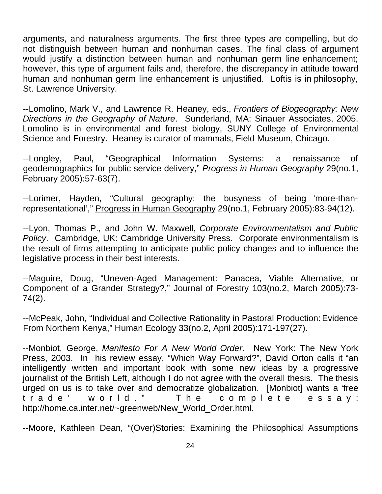arguments, and naturalness arguments. The first three types are compelling, but do not distinguish between human and nonhuman cases. The final class of argument would justify a distinction between human and nonhuman germ line enhancement; however, this type of argument fails and, therefore, the discrepancy in attitude toward human and nonhuman germ line enhancement is unjustified. Loftis is in philosophy, St. Lawrence University.

--Lomolino, Mark V., and Lawrence R. Heaney, eds., *Frontiers of Biogeography: New Directions in the Geography of Nature*. Sunderland, MA: Sinauer Associates, 2005. Lomolino is in environmental and forest biology, SUNY College of Environmental Science and Forestry. Heaney is curator of mammals, Field Museum, Chicago.

--Longley, Paul, "Geographical Information Systems: a renaissance of geodemographics for public service delivery," *Progress in Human Geography* 29(no.1, February 2005):57-63(7).

--Lorimer, Hayden, "Cultural geography: the busyness of being 'more-thanrepresentational'," Progress in Human Geography 29(no.1, February 2005):83-94(12).

--Lyon, Thomas P., and John W. Maxwell, *Corporate Environmentalism and Public Policy*. Cambridge, UK: Cambridge University Press. Corporate environmentalism is the result of firms attempting to anticipate public policy changes and to influence the legislative process in their best interests.

--Maguire, Doug, "Uneven-Aged Management: Panacea, Viable Alternative, or Component of a Grander Strategy?," Journal of Forestry 103(no.2, March 2005):73- 74(2).

--McPeak, John, "Individual and Collective Rationality in Pastoral Production: Evidence From Northern Kenya," Human Ecology 33(no.2, April 2005):171-197(27).

--Monbiot, George, *Manifesto For A New World Order*. New York: The New York Press, 2003. In his review essay, "Which Way Forward?", David Orton calls it "an intelligently written and important book with some new ideas by a progressive journalist of the British Left, although I do not agree with the overall thesis. The thesis urged on us is to take over and democratize globalization. [Monbiot] wants a 'free trade' world." The complete essay: http://home.ca.inter.net/~greenweb/New\_World\_Order.html.

--Moore, Kathleen Dean, "(Over)Stories: Examining the Philosophical Assumptions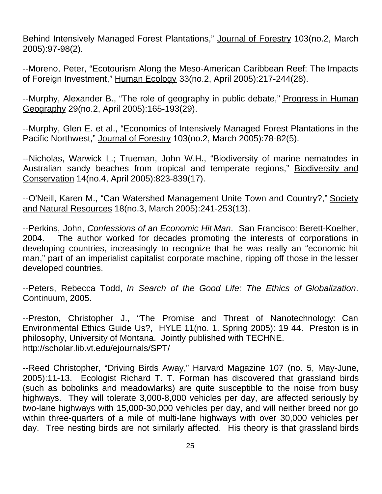Behind Intensively Managed Forest Plantations," Journal of Forestry 103(no.2, March 2005):97-98(2).

--Moreno, Peter, "Ecotourism Along the Meso-American Caribbean Reef: The Impacts of Foreign Investment," Human Ecology 33(no.2, April 2005):217-244(28).

--Murphy, Alexander B., "The role of geography in public debate," Progress in Human Geography 29(no.2, April 2005):165-193(29).

--Murphy, Glen E. et al., "Economics of Intensively Managed Forest Plantations in the Pacific Northwest," Journal of Forestry 103(no.2, March 2005):78-82(5).

--Nicholas, Warwick L.; Trueman, John W.H., "Biodiversity of marine nematodes in Australian sandy beaches from tropical and temperate regions," Biodiversity and Conservation 14(no.4, April 2005):823-839(17).

--O'Neill, Karen M., "Can Watershed Management Unite Town and Country?," Society and Natural Resources 18(no.3, March 2005):241-253(13).

--Perkins, John, *Confessions of an Economic Hit Man*. San Francisco: Berett-Koelher, 2004. The author worked for decades promoting the interests of corporations in developing countries, increasingly to recognize that he was really an "economic hit man," part of an imperialist capitalist corporate machine, ripping off those in the lesser developed countries.

--Peters, Rebecca Todd, *In Search of the Good Life: The Ethics of Globalization*. Continuum, 2005.

--Preston, Christopher J., "The Promise and Threat of Nanotechnology: Can Environmental Ethics Guide Us?, HYLE 11(no. 1. Spring 2005): 19 44. Preston is in philosophy, University of Montana. Jointly published with TECHNE. http://scholar.lib.vt.edu/ejournals/SPT/

--Reed Christopher, "Driving Birds Away," Harvard Magazine 107 (no. 5, May-June, 2005):11-13. Ecologist Richard T. T. Forman has discovered that grassland birds (such as bobolinks and meadowlarks) are quite susceptible to the noise from busy highways. They will tolerate 3,000-8,000 vehicles per day, are affected seriously by two-lane highways with 15,000-30,000 vehicles per day, and will neither breed nor go within three-quarters of a mile of multi-lane highways with over 30,000 vehicles per day. Tree nesting birds are not similarly affected. His theory is that grassland birds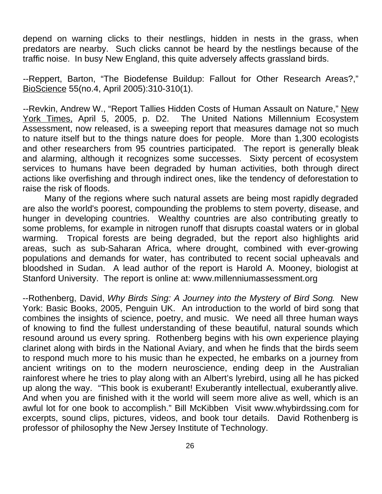depend on warning clicks to their nestlings, hidden in nests in the grass, when predators are nearby. Such clicks cannot be heard by the nestlings because of the traffic noise. In busy New England, this quite adversely affects grassland birds.

--Reppert, Barton, "The Biodefense Buildup: Fallout for Other Research Areas?," BioScience 55(no.4, April 2005):310-310(1).

--Revkin, Andrew W., "Report Tallies Hidden Costs of Human Assault on Nature," New York Times, April 5, 2005, p. D2. The United Nations Millennium Ecosystem Assessment, now released, is a sweeping report that measures damage not so much to nature itself but to the things nature does for people. More than 1,300 ecologists and other researchers from 95 countries participated. The report is generally bleak and alarming, although it recognizes some successes. Sixty percent of ecosystem services to humans have been degraded by human activities, both through direct actions like overfishing and through indirect ones, like the tendency of deforestation to raise the risk of floods.

Many of the regions where such natural assets are being most rapidly degraded are also the world's poorest, compounding the problems to stem poverty, disease, and hunger in developing countries. Wealthy countries are also contributing greatly to some problems, for example in nitrogen runoff that disrupts coastal waters or in global warming. Tropical forests are being degraded, but the report also highlights arid areas, such as sub-Saharan Africa, where drought, combined with ever-growing populations and demands for water, has contributed to recent social upheavals and bloodshed in Sudan. A lead author of the report is Harold A. Mooney, biologist at Stanford University. The report is online at: www.millenniumassessment.org

--Rothenberg, David, *Why Birds Sing: A Journey into the Mystery of Bird Song*. New York: Basic Books, 2005, Penguin UK. An introduction to the world of bird song that combines the insights of science, poetry, and music. We need all three human ways of knowing to find the fullest understanding of these beautiful, natural sounds which resound around us every spring. Rothenberg begins with his own experience playing clarinet along with birds in the National Aviary, and when he finds that the birds seem to respond much more to his music than he expected, he embarks on a journey from ancient writings on to the modern neuroscience, ending deep in the Australian rainforest where he tries to play along with an Albert's lyrebird, using all he has picked up along the way. "This book is exuberant! Exuberantly intellectual, exuberantly alive. And when you are finished with it the world will seem more alive as well, which is an awful lot for one book to accomplish." Bill McKibben Visit www.whybirdssing.com for excerpts, sound clips, pictures, videos, and book tour details. David Rothenberg is professor of philosophy the New Jersey Institute of Technology.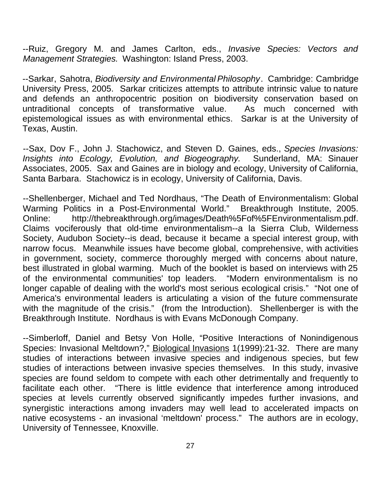--Ruiz, Gregory M. and James Carlton, eds., *Invasive Species: Vectors and Management Strategies.* Washington: Island Press, 2003.

--Sarkar, Sahotra, *Biodiversity and Environmental Philosophy*. Cambridge: Cambridge University Press, 2005. Sarkar criticizes attempts to attribute intrinsic value to nature and defends an anthropocentric position on biodiversity conservation based on untraditional concepts of transformative value. As much concerned with epistemological issues as with environmental ethics. Sarkar is at the University of Texas, Austin.

--Sax, Dov F., John J. Stachowicz, and Steven D. Gaines, eds., *Species Invasions: Insights into Ecology, Evolution, and Biogeography.* Sunderland, MA: Sinauer Associates, 2005. Sax and Gaines are in biology and ecology, University of California, Santa Barbara. Stachowicz is in ecology, University of California, Davis.

--Shellenberger, Michael and Ted Nordhaus, "The Death of Environmentalism: Global Warming Politics in a Post-Environmental World." Breakthrough Institute, 2005. Online: http://thebreakthrough.org/images/Death%5Fof%5FEnvironmentalism.pdf. Claims vociferously that old-time environmentalism--a la Sierra Club, Wilderness Society, Audubon Society--is dead, because it became a special interest group, with narrow focus. Meanwhile issues have become global, comprehensive, with activities in government, society, commerce thoroughly merged with concerns about nature, best illustrated in global warming. Much of the booklet is based on interviews with 25 of the environmental communities' top leaders. "Modern environmentalism is no longer capable of dealing with the world's most serious ecological crisis." "Not one of America's environmental leaders is articulating a vision of the future commensurate with the magnitude of the crisis." (from the Introduction). Shellenberger is with the Breakthrough Institute. Nordhaus is with Evans McDonough Company.

--Simberloff, Daniel and Betsy Von Holle, "Positive Interactions of Nonindigenous Species: Invasional Meltdown?," Biological Invasions 1(1999):21-32. There are many studies of interactions between invasive species and indigenous species, but few studies of interactions between invasive species themselves. In this study, invasive species are found seldom to compete with each other detrimentally and frequently to facilitate each other. "There is little evidence that interference among introduced species at levels currently observed significantly impedes further invasions, and synergistic interactions among invaders may well lead to accelerated impacts on native ecosystems - an invasional 'meltdown' process." The authors are in ecology, University of Tennessee, Knoxville.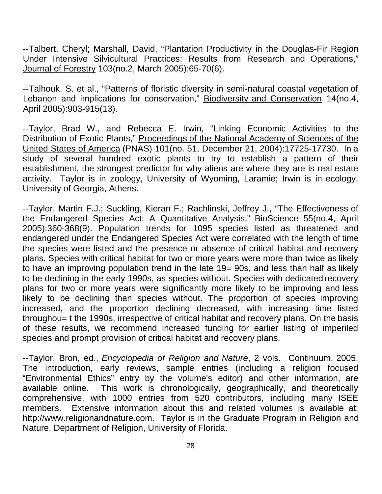--Talbert, Cheryl; Marshall, David, "Plantation Productivity in the Douglas-Fir Region Under Intensive Silvicultural Practices: Results from Research and Operations," Journal of Forestry 103(no.2, March 2005):65-70(6).

--Talhouk, S. et al., "Patterns of floristic diversity in semi-natural coastal vegetation of Lebanon and implications for conservation," Biodiversity and Conservation 14(no.4, April 2005):903-915(13).

--Taylor, Brad W., and Rebecca E. Irwin, "Linking Economic Activities to the Distribution of Exotic Plants," Proceedings of the National Academy of Sciences of the United States of America (PNAS) 101(no. 51, December 21, 2004):17725-17730. In a study of several hundred exotic plants to try to establish a pattern of their establishment, the strongest predictor for why aliens are where they are is real estate activity. Taylor is in zoology, University of Wyoming, Laramie; Irwin is in ecology, University of Georgia, Athens.

--Taylor, Martin F.J.; Suckling, Kieran F.; Rachlinski, Jeffrey J., "The Effectiveness of the Endangered Species Act: A Quantitative Analysis," BioScience 55(no.4, April 2005):360-368(9). Population trends for 1095 species listed as threatened and endangered under the Endangered Species Act were correlated with the length of time the species were listed and the presence or absence of critical habitat and recovery plans. Species with critical habitat for two or more years were more than twice as likely to have an improving population trend in the late 19= 90s, and less than half as likely to be declining in the early 1990s, as species without. Species with dedicated recovery plans for two or more years were significantly more likely to be improving and less likely to be declining than species without. The proportion of species improving increased, and the proportion declining decreased, with increasing time listed throughou= t the 1990s, irrespective of critical habitat and recovery plans. On the basis of these results, we recommend increased funding for earlier listing of imperiled species and prompt provision of critical habitat and recovery plans.

--Taylor, Bron, ed., *Encyclopedia of Religion and Nature*, 2 vols. Continuum, 2005. The introduction, early reviews, sample entries (including a religion focused "Environmental Ethics" entry by the volume's editor) and other information, are available online. This work is chronologically, geographically, and theoretically comprehensive, with 1000 entries from 520 contributors, including many ISEE members. Extensive information about this and related volumes is available at: http://www.religionandnature.com. Taylor is in the Graduate Program in Religion and Nature, Department of Religion, University of Florida.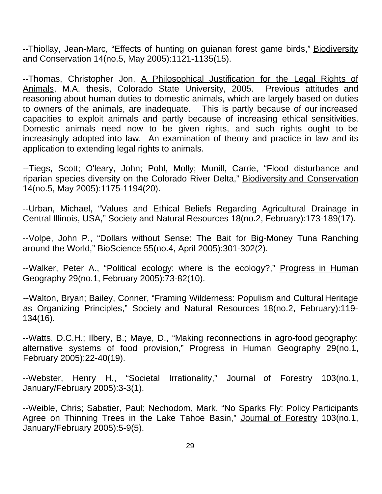--Thiollay, Jean-Marc, "Effects of hunting on guianan forest game birds," Biodiversity and Conservation 14(no.5, May 2005):1121-1135(15).

--Thomas, Christopher Jon, A Philosophical Justification for the Legal Rights of Animals, M.A. thesis, Colorado State University, 2005. Previous attitudes and reasoning about human duties to domestic animals, which are largely based on duties to owners of the animals, are inadequate. This is partly because of our increased capacities to exploit animals and partly because of increasing ethical sensitivities. Domestic animals need now to be given rights, and such rights ought to be increasingly adopted into law. An examination of theory and practice in law and its application to extending legal rights to animals.

--Tiegs, Scott; O'leary, John; Pohl, Molly; Munill, Carrie, "Flood disturbance and riparian species diversity on the Colorado River Delta," Biodiversity and Conservation 14(no.5, May 2005):1175-1194(20).

--Urban, Michael, "Values and Ethical Beliefs Regarding Agricultural Drainage in Central Illinois, USA," Society and Natural Resources 18(no. 2, February): 173-189(17).

--Volpe, John P., "Dollars without Sense: The Bait for Big-Money Tuna Ranching around the World," BioScience 55(no.4, April 2005):301-302(2).

--Walker, Peter A., "Political ecology: where is the ecology?," Progress in Human Geography 29(no.1, February 2005):73-82(10).

--Walton, Bryan; Bailey, Conner, "Framing Wilderness: Populism and Cultural Heritage as Organizing Principles," Society and Natural Resources 18(no.2, February):119- 134(16).

--Watts, D.C.H.; Ilbery, B.; Maye, D., "Making reconnections in agro-food geography: alternative systems of food provision," Progress in Human Geography 29(no.1, February 2005):22-40(19).

--Webster, Henry H., "Societal Irrationality," Journal of Forestry 103(no.1, January/February 2005):3-3(1).

--Weible, Chris; Sabatier, Paul; Nechodom, Mark, "No Sparks Fly: Policy Participants Agree on Thinning Trees in the Lake Tahoe Basin," Journal of Forestry 103(no.1, January/February 2005):5-9(5).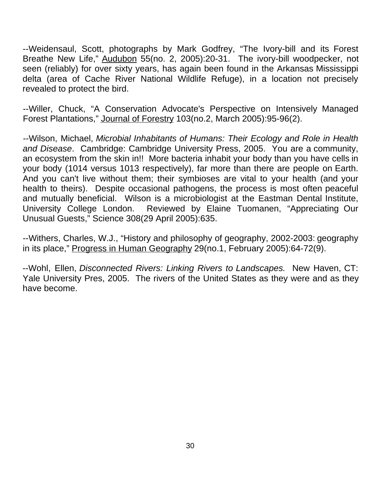--Weidensaul, Scott, photographs by Mark Godfrey, "The Ivory-bill and its Forest Breathe New Life," Audubon 55(no. 2, 2005):20-31. The ivory-bill woodpecker, not seen (reliably) for over sixty years, has again been found in the Arkansas Mississippi delta (area of Cache River National Wildlife Refuge), in a location not precisely revealed to protect the bird.

--Willer, Chuck, "A Conservation Advocate's Perspective on Intensively Managed Forest Plantations," Journal of Forestry 103(no.2, March 2005):95-96(2).

--Wilson, Michael, *Microbial Inhabitants of Humans: Their Ecology and Role in Health and Disease*. Cambridge: Cambridge University Press, 2005. You are a community, an ecosystem from the skin in!! More bacteria inhabit your body than you have cells in your body (1014 versus 1013 respectively), far more than there are people on Earth. And you can't live without them; their symbioses are vital to your health (and your health to theirs). Despite occasional pathogens, the process is most often peaceful and mutually beneficial. Wilson is a microbiologist at the Eastman Dental Institute, University College London. Reviewed by Elaine Tuomanen, "Appreciating Our Unusual Guests," Science 308(29 April 2005):635.

--Withers, Charles, W.J., "History and philosophy of geography, 2002-2003: geography in its place," Progress in Human Geography 29(no.1, February 2005):64-72(9).

--Wohl, Ellen, *Disconnected Rivers: Linking Rivers to Landscapes.* New Haven, CT: Yale University Pres, 2005. The rivers of the United States as they were and as they have become.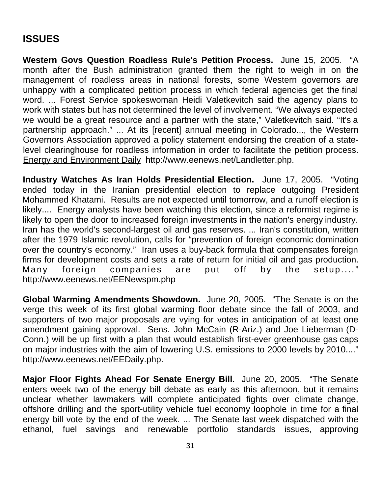# **ISSUES**

**Western Govs Question Roadless Rule's Petition Process.** June 15, 2005. "A month after the Bush administration granted them the right to weigh in on the management of roadless areas in national forests, some Western governors are unhappy with a complicated petition process in which federal agencies get the final word. ... Forest Service spokeswoman Heidi Valetkevitch said the agency plans to work with states but has not determined the level of involvement. "We always expected we would be a great resource and a partner with the state," Valetkevitch said. "It's a partnership approach." ... At its [recent] annual meeting in Colorado..., the Western Governors Association approved a policy statement endorsing the creation of a statelevel clearinghouse for roadless information in order to facilitate the petition process. Energy and Environment Daily http://www.eenews.net/Landletter.php.

**Industry Watches As Iran Holds Presidential Election.** June 17, 2005. "Voting ended today in the Iranian presidential election to replace outgoing President Mohammed Khatami. Results are not expected until tomorrow, and a runoff election is likely.... Energy analysts have been watching this election, since a reformist regime is likely to open the door to increased foreign investments in the nation's energy industry. Iran has the world's second-largest oil and gas reserves. ... Iran's constitution, written after the 1979 Islamic revolution, calls for "prevention of foreign economic domination over the country's economy." Iran uses a buy-back formula that compensates foreign firms for development costs and sets a rate of return for initial oil and gas production. Many foreign companies are put off by the setup...." http://www.eenews.net/EENewspm.php

**Global Warming Amendments Showdown.** June 20, 2005. "The Senate is on the verge this week of its first global warming floor debate since the fall of 2003, and supporters of two major proposals are vying for votes in anticipation of at least one amendment gaining approval. Sens. John McCain (R-Ariz.) and Joe Lieberman (D-Conn.) will be up first with a plan that would establish first-ever greenhouse gas caps on major industries with the aim of lowering U.S. emissions to 2000 levels by 2010...." http://www.eenews.net/EEDaily.php.

**Major Floor Fights Ahead For Senate Energy Bill.** June 20, 2005. "The Senate enters week two of the energy bill debate as early as this afternoon, but it remains unclear whether lawmakers will complete anticipated fights over climate change, offshore drilling and the sport-utility vehicle fuel economy loophole in time for a final energy bill vote by the end of the week. ... The Senate last week dispatched with the ethanol, fuel savings and renewable portfolio standards issues, approving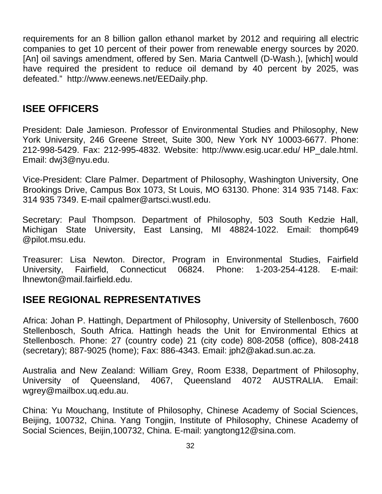requirements for an 8 billion gallon ethanol market by 2012 and requiring all electric companies to get 10 percent of their power from renewable energy sources by 2020. [An] oil savings amendment, offered by Sen. Maria Cantwell (D-Wash.), [which] would have required the president to reduce oil demand by 40 percent by 2025, was defeated." http://www.eenews.net/EEDaily.php.

#### **ISEE OFFICERS**

President: Dale Jamieson. Professor of Environmental Studies and Philosophy, New York University, 246 Greene Street, Suite 300, New York NY 10003-6677. Phone: 212-998-5429. Fax: 212-995-4832. Website: http://www.esig.ucar.edu/ HP\_dale.html. Email: dwj3@nyu.edu.

Vice-President: Clare Palmer. Department of Philosophy, Washington University, One Brookings Drive, Campus Box 1073, St Louis, MO 63130. Phone: 314 935 7148. Fax: 314 935 7349. E-mail cpalmer@artsci.wustl.edu.

Secretary: Paul Thompson. Department of Philosophy, 503 South Kedzie Hall, Michigan State University, East Lansing, MI 48824-1022. Email: thomp649 @pilot.msu.edu.

Treasurer: Lisa Newton. Director, Program in Environmental Studies, Fairfield University, Fairfield, Connecticut 06824. Phone: 1-203-254-4128. E-mail: lhnewton@mail.fairfield.edu.

#### **ISEE REGIONAL REPRESENTATIVES**

Africa: Johan P. Hattingh, Department of Philosophy, University of Stellenbosch, 7600 Stellenbosch, South Africa. Hattingh heads the Unit for Environmental Ethics at Stellenbosch. Phone: 27 (country code) 21 (city code) 808-2058 (office), 808-2418 (secretary); 887-9025 (home); Fax: 886-4343. Email: jph2@akad.sun.ac.za.

Australia and New Zealand: William Grey, Room E338, Department of Philosophy, University of Queensland, 4067, Queensland 4072 AUSTRALIA. Email: wgrey@mailbox.uq.edu.au.

China: Yu Mouchang, Institute of Philosophy, Chinese Academy of Social Sciences, Beijing, 100732, China. Yang Tongjin, Institute of Philosophy, Chinese Academy of Social Sciences, Beijin,100732, China. E-mail: yangtong12@sina.com.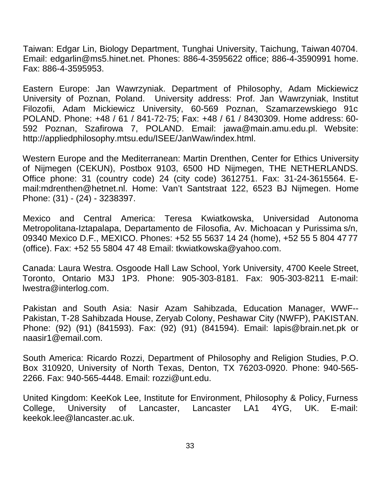Taiwan: Edgar Lin, Biology Department, Tunghai University, Taichung, Taiwan 40704. Email: edgarlin@ms5.hinet.net. Phones: 886-4-3595622 office; 886-4-3590991 home. Fax: 886-4-3595953.

Eastern Europe: Jan Wawrzyniak. Department of Philosophy, Adam Mickiewicz University of Poznan, Poland. University address: Prof. Jan Wawrzyniak, Institut Filozofii, Adam Mickiewicz University, 60-569 Poznan, Szamarzewskiego 91c POLAND. Phone: +48 / 61 / 841-72-75; Fax: +48 / 61 / 8430309. Home address: 60- 592 Poznan, Szafirowa 7, POLAND. Email: jawa@main.amu.edu.pl. Website: http://appliedphilosophy.mtsu.edu/ISEE/JanWaw/index.html.

Western Europe and the Mediterranean: Martin Drenthen, Center for Ethics University of Nijmegen (CEKUN), Postbox 9103, 6500 HD Nijmegen, THE NETHERLANDS. Office phone: 31 (country code) 24 (city code) 3612751. Fax: 31-24-3615564. Email:mdrenthen@hetnet.nl. Home: Van't Santstraat 122, 6523 BJ Nijmegen. Home Phone: (31) - (24) - 3238397.

Mexico and Central America: Teresa Kwiatkowska, Universidad Autonoma Metropolitana-Iztapalapa, Departamento de Filosofia, Av. Michoacan y Purissima s/n, 09340 Mexico D.F., MEXICO. Phones: +52 55 5637 14 24 (home), +52 55 5 804 47 77 (office). Fax: +52 55 5804 47 48 Email: tkwiatkowska@yahoo.com.

Canada: Laura Westra. Osgoode Hall Law School, York University, 4700 Keele Street, Toronto, Ontario M3J 1P3. Phone: 905-303-8181. Fax: 905-303-8211 E-mail: lwestra@interlog.com.

Pakistan and South Asia: Nasir Azam Sahibzada, Education Manager, WWF-- Pakistan, T-28 Sahibzada House, Zeryab Colony, Peshawar City (NWFP), PAKISTAN. Phone: (92) (91) (841593). Fax: (92) (91) (841594). Email: lapis@brain.net.pk or naasir1@email.com.

South America: Ricardo Rozzi, Department of Philosophy and Religion Studies, P.O. Box 310920, University of North Texas, Denton, TX 76203-0920. Phone: 940-565- 2266. Fax: 940-565-4448. Email: rozzi@unt.edu.

United Kingdom: KeeKok Lee, Institute for Environment, Philosophy & Policy, Furness College, University of Lancaster, Lancaster LA1 4YG, UK. E-mail: keekok.lee@lancaster.ac.uk.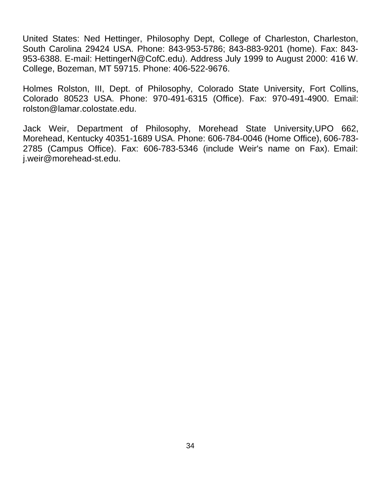United States: Ned Hettinger, Philosophy Dept, College of Charleston, Charleston, South Carolina 29424 USA. Phone: 843-953-5786; 843-883-9201 (home). Fax: 843- 953-6388. E-mail: HettingerN@CofC.edu). Address July 1999 to August 2000: 416 W. College, Bozeman, MT 59715. Phone: 406-522-9676.

Holmes Rolston, III, Dept. of Philosophy, Colorado State University, Fort Collins, Colorado 80523 USA. Phone: 970-491-6315 (Office). Fax: 970-491-4900. Email: rolston@lamar.colostate.edu.

Jack Weir, Department of Philosophy, Morehead State University,UPO 662, Morehead, Kentucky 40351-1689 USA. Phone: 606-784-0046 (Home Office), 606-783- 2785 (Campus Office). Fax: 606-783-5346 (include Weir's name on Fax). Email: j.weir@morehead-st.edu.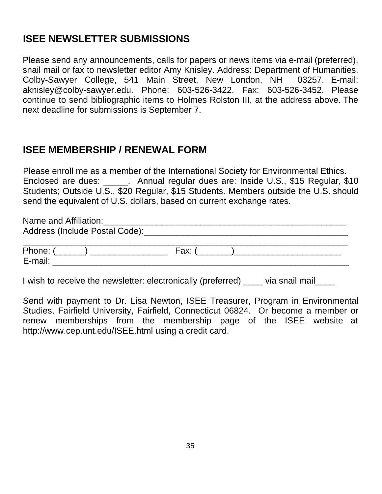# **ISEE NEWSLETTER SUBMISSIONS**

Please send any announcements, calls for papers or news items via e-mail (preferred), snail mail or fax to newsletter editor Amy Knisley. Address: Department of Humanities, Colby-Sawyer College, 541 Main Street, New London, NH 03257. E-mail: aknisley@colby-sawyer.edu. Phone: 603-526-3422. Fax: 603-526-3452. Please continue to send bibliographic items to Holmes Rolston III, at the address above. The next deadline for submissions is September 7.

### **ISEE MEMBERSHIP / RENEWAL FORM**

Please enroll me as a member of the International Society for Environmental Ethics. Enclosed are dues: \_\_\_\_\_. Annual regular dues are: Inside U.S., \$15 Regular, \$10 Students; Outside U.S., \$20 Regular, \$15 Students. Members outside the U.S. should send the equivalent of U.S. dollars, based on current exchange rates.

Name and Affiliation: Address (Include Postal Code): example and the set of the set of the set of the set of the set of the set of the set of the set of the set of the set of the set of the set of the set of the set of the set of the set of the  $\_$  , and the set of the set of the set of the set of the set of the set of the set of the set of the set of the set of the set of the set of the set of the set of the set of the set of the set of the set of the set of th Phone: (\_\_\_\_\_\_) \_\_\_\_\_\_\_\_\_\_\_\_\_\_\_\_ Fax: (\_\_\_\_\_\_\_)\_\_\_\_\_\_\_\_\_\_\_\_\_\_\_\_\_\_\_\_\_\_ E-mail: \_\_\_\_\_\_\_\_\_\_\_\_\_\_\_\_\_\_\_\_\_\_\_\_\_\_\_\_\_\_\_\_\_\_\_\_\_\_\_\_\_\_\_\_\_\_\_\_\_\_\_\_\_\_\_\_\_\_\_\_\_

I wish to receive the newsletter: electronically (preferred) \_\_\_\_\_ via snail mail

Send with payment to Dr. Lisa Newton, ISEE Treasurer, Program in Environmental Studies, Fairfield University, Fairfield, Connecticut 06824. Or become a member or renew memberships from the membership page of the ISEE website at http://www.cep.unt.edu/ISEE.html using a credit card.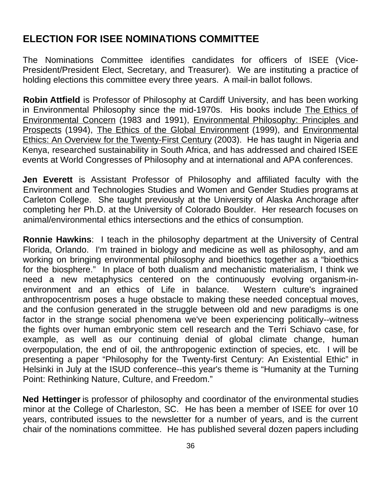# **ELECTION FOR ISEE NOMINATIONS COMMITTEE**

The Nominations Committee identifies candidates for officers of ISEE (Vice-President/President Elect, Secretary, and Treasurer). We are instituting a practice of holding elections this committee every three years. A mail-in ballot follows.

**Robin Attfield** is Professor of Philosophy at Cardiff University, and has been working in Environmental Philosophy since the mid-1970s. His books include The Ethics of Environmental Concern (1983 and 1991), Environmental Philosophy: Principles and Prospects (1994), The Ethics of the Global Environment (1999), and Environmental Ethics: An Overview for the Twenty-First Century (2003). He has taught in Nigeria and Kenya, researched sustainability in South Africa, and has addressed and chaired ISEE events at World Congresses of Philosophy and at international and APA conferences.

**Jen Everett** is Assistant Professor of Philosophy and affiliated faculty with the Environment and Technologies Studies and Women and Gender Studies programs at Carleton College. She taught previously at the University of Alaska Anchorage after completing her Ph.D. at the University of Colorado Boulder. Her research focuses on animal/environmental ethics intersections and the ethics of consumption.

**Ronnie Hawkins**: I teach in the philosophy department at the University of Central Florida, Orlando. I'm trained in biology and medicine as well as philosophy, and am working on bringing environmental philosophy and bioethics together as a "bioethics for the biosphere." In place of both dualism and mechanistic materialism, I think we need a new metaphysics centered on the continuously evolving organism-inenvironment and an ethics of Life in balance. Western culture's ingrained anthropocentrism poses a huge obstacle to making these needed conceptual moves, and the confusion generated in the struggle between old and new paradigms is one factor in the strange social phenomena we've been experiencing politically--witness the fights over human embryonic stem cell research and the Terri Schiavo case, for example, as well as our continuing denial of global climate change, human overpopulation, the end of oil, the anthropogenic extinction of species, etc. I will be presenting a paper "Philosophy for the Twenty-first Century: An Existential Ethic" in Helsinki in July at the ISUD conference--this year's theme is "Humanity at the Turning Point: Rethinking Nature, Culture, and Freedom."

**Ned Hettinger** is professor of philosophy and coordinator of the environmental studies minor at the College of Charleston, SC. He has been a member of ISEE for over 10 years, contributed issues to the newsletter for a number of years, and is the current chair of the nominations committee. He has published several dozen papers including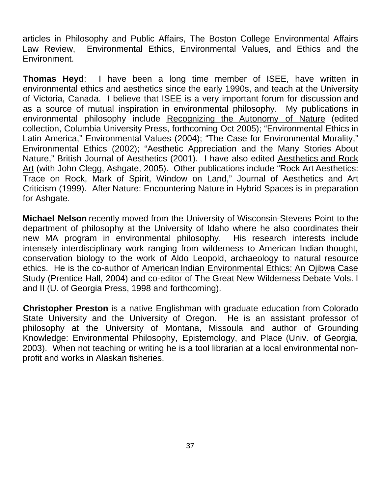articles in Philosophy and Public Affairs, The Boston College Environmental Affairs Law Review, Environmental Ethics, Environmental Values, and Ethics and the Environment.

**Thomas Heyd**: I have been a long time member of ISEE, have written in environmental ethics and aesthetics since the early 1990s, and teach at the University of Victoria, Canada. I believe that ISEE is a very important forum for discussion and as a source of mutual inspiration in environmental philosophy. My publications in environmental philosophy include Recognizing the Autonomy of Nature (edited collection, Columbia University Press, forthcoming Oct 2005); "Environmental Ethics in Latin America," Environmental Values (2004); "The Case for Environmental Morality," Environmental Ethics (2002); "Aesthetic Appreciation and the Many Stories About Nature," British Journal of Aesthetics (2001). I have also edited Aesthetics and Rock Art (with John Clegg, Ashgate, 2005). Other publications include "Rock Art Aesthetics: Trace on Rock, Mark of Spirit, Window on Land," Journal of Aesthetics and Art Criticism (1999). After Nature: Encountering Nature in Hybrid Spaces is in preparation for Ashgate.

**Michael Nelson** recently moved from the University of Wisconsin-Stevens Point to the department of philosophy at the University of Idaho where he also coordinates their new MA program in environmental philosophy. His research interests include intensely interdisciplinary work ranging from wilderness to American Indian thought, conservation biology to the work of Aldo Leopold, archaeology to natural resource ethics. He is the co-author of American Indian Environmental Ethics: An Ojibwa Case Study (Prentice Hall, 2004) and co-editor of The Great New Wilderness Debate Vols. I and II (U. of Georgia Press, 1998 and forthcoming).

**Christopher Preston** is a native Englishman with graduate education from Colorado State University and the University of Oregon. He is an assistant professor of philosophy at the University of Montana, Missoula and author of Grounding Knowledge: Environmental Philosophy, Epistemology, and Place (Univ. of Georgia, 2003). When not teaching or writing he is a tool librarian at a local environmental nonprofit and works in Alaskan fisheries.